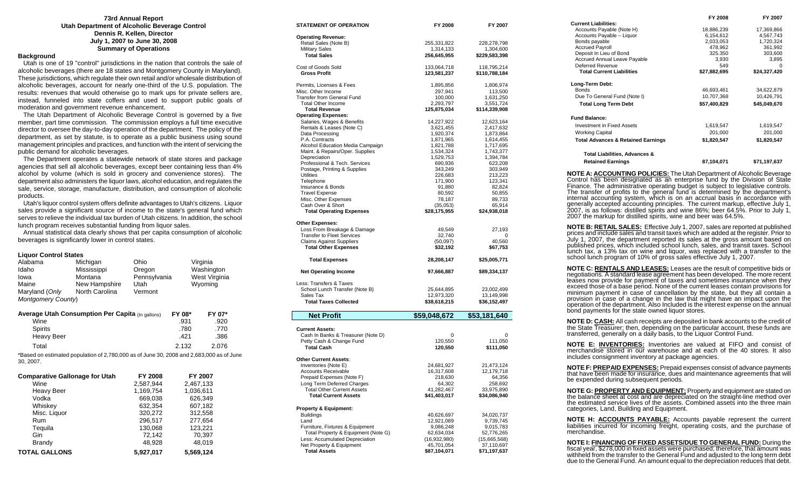#### **73rd Annual Report Utah Department of Alcoholic Beverage Control Dennis R. Kellen, Director July 1, 2007 to June 30, 2008 Summary of Operations**

### **Background**

 Utah is one of 19 "control" jurisdictions in the nation that controls the sale of alcoholic beverages (there are 18 states and Montgomery County in Maryland). These jurisdictions, which regulate their own retail and/or wholesale distribution of alcoholic beverages, account for nearly one-third of the U.S. population. The results: revenues that would otherwise go to mark ups for private sellers are, instead, funneled into state coffers and used to support public goals of moderation and government revenue enhancement.

 The Utah Department of Alcoholic Beverage Control is governed by a five member, part time commission. The commission employs a full time executive director to oversee the day-to-day operation of the department. The policy of the department, as set by statute, is to operate as a public business using sound management principles and practices, and function with the intent of servicing the public demand for alcoholic beverages.

 The Department operates a statewide network of state stores and package agencies that sell all alcoholic beverages, except beer containing less than 4% alcohol by volume (which is sold in grocery and convenience stores). The department also administers the liquor laws, alcohol education, and regulates the sale, service, storage, manufacture, distribution, and consumption of alcoholic products.

 Utah's liquor control system offers definite advantages to Utah's citizens. Liquor sales provide a significant source of income to the state's general fund which serves to relieve the individual tax burden of Utah citizens. In addition, the school lunch program receives substantial funding from liquor sales.

 Annual statistical data clearly shows that per capita consumption of alcoholic beverages is significantly lower in control states.

#### **Liquor Control States**

| Alabama<br>Idaho<br>lowa<br>Maine<br>Maryland (Only<br>Montgomery County) | Michigan<br>Mississippi<br>Montana<br>New Hampshire<br>North Carolina                    | Ohio<br>Oregon<br>Pennsylvania<br>Utah<br>Vermont |                                | Virginia<br>Washington<br>West Virginia<br>Wyoming |
|---------------------------------------------------------------------------|------------------------------------------------------------------------------------------|---------------------------------------------------|--------------------------------|----------------------------------------------------|
| Wine<br>Spirits<br><b>Heavy Beer</b>                                      | <b>Average Utah Consumption Per Capita (In gallons)</b>                                  |                                                   | FY 08*<br>.931<br>.780<br>.421 | FY 07*<br>.920<br>.770<br>.386                     |
| Total                                                                     | *Based on estimated population of 2,780,000 as of June 30, 2008 and 2,683,000 as of June |                                                   | 2.132                          | 2.076                                              |
| 30, 2007.                                                                 |                                                                                          |                                                   |                                |                                                    |
| <b>Comparative Gallonage for Utah</b>                                     |                                                                                          | <b>FY 2008</b>                                    |                                | FY 2007                                            |

| <b>TOTAL GALLONS</b> | 5.927.017 | 5,569,124 |
|----------------------|-----------|-----------|
| <b>Brandy</b>        | 48.928    | 48.019    |
| Gin                  | 72,142    | 70.397    |
| Tequila              | 130,068   | 123,221   |
| Rum                  | 296.517   | 277.654   |
| Misc. Liquor         | 320,272   | 312.558   |
| Whiskey              | 632.354   | 607,182   |
| Vodka                | 669,038   | 626,349   |
| <b>Heavy Beer</b>    | 1,169,754 | 1,036,611 |
| Wine                 | 2,587,944 | 2,467,133 |
|                      |           |           |

| STATEMENT OF OPERATION                                          | FY 2008                    | FY 2007                    |
|-----------------------------------------------------------------|----------------------------|----------------------------|
| <b>Operating Revenue:</b>                                       |                            |                            |
| Retail Sales (Note B)                                           | 255,331,822                | 228,278,798                |
| <b>Military Sales</b><br><b>Total Sales</b>                     | 1,314,133<br>256,645,955   | 1,304,600<br>\$229,583,398 |
| Cost of Goods Sold                                              | 133,064,718                | 118,795,214                |
| <b>Gross Profit</b>                                             | 123,581,237                | \$110,788,184              |
| Permits, Licenses & Fees                                        | 1,895,856                  | 1,806,974                  |
| Misc. Other Income                                              | 297,941                    | 113,500                    |
| <b>Transfer from General Fund</b><br><b>Total Other Income</b>  | 100,000<br>2,293,797       | 1,631,250<br>3,551,724     |
| <b>Total Revenue</b>                                            | 125,875,034                | \$114,339,908              |
| <b>Operating Expenses:</b>                                      |                            |                            |
| Salaries, Wages & Benefits                                      | 14,227,922                 | 12,623,164                 |
| Rentals & Leases (Note C)                                       | 3,621,455                  | 2,417,632                  |
| Data Processing<br>P.A. Contracts                               | 1,920,374<br>1,871,965     | 1,873,864<br>1,614,455     |
| Alcohol Education Media Campaign                                | 1,821,788                  | 1,717,695                  |
| Maint. & Repairs/Oper. Supplies                                 | 1,534,324                  | 1,743,377                  |
| Depreciation                                                    | 1,529,753                  | 1,394,784                  |
| Professional & Tech. Services                                   | 690,936                    | 623,208                    |
| Postage, Printing & Supplies<br>Utilities                       | 343,249<br>226,683         | 303,949<br>213,223         |
| Telephone                                                       | 171,900                    | 123,341                    |
| Insurance & Bonds                                               | 91,880                     | 82,824                     |
| <b>Travel Expense</b>                                           | 80,592                     | 50,855                     |
| Misc. Other Expenses                                            | 78,187                     | 89,733                     |
| Cash Over & Short<br><b>Total Operating Expenses</b>            | (35,053)<br>\$28,175,955   | 65,914<br>\$24,938,018     |
|                                                                 |                            |                            |
| <b>Other Expenses:</b>                                          |                            |                            |
| Loss From Breakage & Damage                                     | 49,549                     | 27,193                     |
| <b>Transfer to Fleet Services</b>                               | 32,740                     | 0                          |
| <b>Claims Against Suppliers</b><br><b>Total Other Expenses</b>  | (50,097)<br>\$32,192       | 40,560<br>\$67,753         |
|                                                                 |                            |                            |
| <b>Total Expenses</b>                                           | 28,208,147                 | \$25,005,771               |
| <b>Net Operating Income</b>                                     | 97,666,887                 | \$89,334,137               |
| Less: Transfers & Taxes                                         |                            |                            |
| School Lunch Transfer (Note B)                                  | 25,644,895                 | 23,002,499                 |
| Sales Tax                                                       | 12,973,320                 | 13,149,998                 |
| <b>Total Taxes Collected</b>                                    | \$38,618,215               | \$36,152,497               |
| <b>Net Profit</b>                                               | \$59,048,672               | \$53,181,640               |
| <b>Current Assets:</b>                                          |                            |                            |
| Cash In Banks & Treasurer (Note D)                              | 0                          | 0                          |
| Petty Cash & Change Fund                                        | 120,550                    | 111,050                    |
| <b>Total Cash</b>                                               | 120,550                    | \$111,050                  |
| Other Current Assets:                                           |                            |                            |
| Inventories (Note E)                                            | 24,681,927                 | 21,473,124                 |
| <b>Accounts Receivable</b>                                      | 16,317,608                 | 12,179,718                 |
| Prepaid Expenses (Note F)                                       | 218,630                    | 64,356                     |
| Long Term Deferred Charges<br><b>Total Other Current Assets</b> | 64,302                     | 258,692                    |
| <b>Total Current Assets</b>                                     | 41,282,467<br>\$41,403,017 | 33,975,890<br>\$34,086,940 |
| <b>Property &amp; Equipment:</b>                                |                            |                            |
| Buildings                                                       | 40,626,697                 | 34,020,737                 |
| Land                                                            | 12,921,089                 | 9,739,745                  |
| Furniture, Fixtures & Equipment                                 | 9,086,248                  | 9,015,783                  |
| Total Property & Equipment (Note G)                             | 62,634,034                 | 52,776,265                 |
| Less: Accumulated Depreciation                                  | (16,932,980)               | (15,665,568)               |
| Net Property & Equipment<br><b>Total Assets</b>                 | 45,701,054<br>\$87,104,071 | 37,110,697<br>\$71,197,637 |

|                                                                                                                                                                                                                                                                                                                                                                                                                                                                                                                                                                                                                                                            | FY 2008                        | FY 2007            |
|------------------------------------------------------------------------------------------------------------------------------------------------------------------------------------------------------------------------------------------------------------------------------------------------------------------------------------------------------------------------------------------------------------------------------------------------------------------------------------------------------------------------------------------------------------------------------------------------------------------------------------------------------------|--------------------------------|--------------------|
| <b>Current Liabilities:</b>                                                                                                                                                                                                                                                                                                                                                                                                                                                                                                                                                                                                                                |                                |                    |
| Accounts Payable (Note H)                                                                                                                                                                                                                                                                                                                                                                                                                                                                                                                                                                                                                                  | 18,886,239                     | 17,369,866         |
| Accounts Payable - Liquor                                                                                                                                                                                                                                                                                                                                                                                                                                                                                                                                                                                                                                  | 6,154,612                      | 4,567,743          |
| Bonds payable                                                                                                                                                                                                                                                                                                                                                                                                                                                                                                                                                                                                                                              | 2,033,053                      | 1,720,324          |
| <b>Accrued Payroll</b><br>Deposit In Lieu of Bond                                                                                                                                                                                                                                                                                                                                                                                                                                                                                                                                                                                                          | ,000,000<br>478,962<br>325.350 | 361,992<br>303,600 |
| <b>Accrued Annual Leave Payable</b>                                                                                                                                                                                                                                                                                                                                                                                                                                                                                                                                                                                                                        | 3,930                          | 3,895              |
| <b>Deferred Revenue</b>                                                                                                                                                                                                                                                                                                                                                                                                                                                                                                                                                                                                                                    | 549                            | 0                  |
| <b>Total Current Liabilities</b>                                                                                                                                                                                                                                                                                                                                                                                                                                                                                                                                                                                                                           | \$27,882,695                   | \$24,327,420       |
| Long-Term Debt:                                                                                                                                                                                                                                                                                                                                                                                                                                                                                                                                                                                                                                            |                                |                    |
| Bonds                                                                                                                                                                                                                                                                                                                                                                                                                                                                                                                                                                                                                                                      | 46,693,461                     | 34,622,879         |
| Due To General Fund (Note I)                                                                                                                                                                                                                                                                                                                                                                                                                                                                                                                                                                                                                               | 10,707,368                     | 10,426,791         |
| <b>Total Long Term Debt</b>                                                                                                                                                                                                                                                                                                                                                                                                                                                                                                                                                                                                                                | \$57,400,829                   | \$45,049,670       |
| <b>Fund Balance:</b>                                                                                                                                                                                                                                                                                                                                                                                                                                                                                                                                                                                                                                       |                                |                    |
| <b>Investment in Fixed Assets</b>                                                                                                                                                                                                                                                                                                                                                                                                                                                                                                                                                                                                                          |                                |                    |
|                                                                                                                                                                                                                                                                                                                                                                                                                                                                                                                                                                                                                                                            | 1,619,547                      | 1,619,547          |
| <b>Working Capital</b>                                                                                                                                                                                                                                                                                                                                                                                                                                                                                                                                                                                                                                     | 201,000                        | 201,000            |
| <b>Total Advances &amp; Retained Earnings</b>                                                                                                                                                                                                                                                                                                                                                                                                                                                                                                                                                                                                              | \$1,820,547                    | \$1,820,547        |
| Total Liabilities, Advances &                                                                                                                                                                                                                                                                                                                                                                                                                                                                                                                                                                                                                              |                                |                    |
| <b>Retained Earnings</b>                                                                                                                                                                                                                                                                                                                                                                                                                                                                                                                                                                                                                                   | 87,104,071                     | \$71,197,637       |
| <b>NOTE A: ACCOUNTING POLICIES:</b> The Utah Department of Alcoholic Beverage<br>Control has been designated as an enterprise fund by the Division of State<br>Finance. The administrative operating budget is subject to legislative controls.<br>The transfer of profits to the general fund is determined by the department's<br>internal accounting system, which is on an accrual basis in accordance with<br>generally accepted accounting principles. The current markup, effective July 1,<br>2007, is as follows: distilled spirits and wine 86%; beer 64.5%. Prior to July 1,<br>2007 the markup for distilled spirits, wine and beer was 64.5%. |                                |                    |
| <b>NOTE B: RETAIL SALES:</b> Effective July 1, 2007, sales are reported at published<br>prices and include sales and transit taxes which are added at the register. Prior to<br>July 1, 2007, the department reported its sales at the gross amount based on<br>published prices, which included school lunch, sales, and transit taxes. School<br>lunch tax, a 13% tax on wine and liquor, was replaced with a transfer to the<br>school lunch program of 10% of gross sales effective July 1, 2007.                                                                                                                                                      |                                |                    |
| <b>NOTE C: RENTALS AND LEASES:</b> Leases are the result of competitive bids or<br>negotiations. A standard lease agreement has been developed. The more recent<br>leases now provide for payment of taxes and sometimes insurance when they<br>exceed those of a base period. None of the current leases contain provisions for<br>minimum payment in case of cancellation by the state, but they all contain a<br>provision in case of a change in the law that might have an impact upon the<br>operation of the department. Also Included is the interest expense on the annual<br>bond payments for the state owned liquor stores.                    |                                |                    |
| <b>NOTE D: CASH:</b> All cash receipts are deposited in bank accounts to the credit of                                                                                                                                                                                                                                                                                                                                                                                                                                                                                                                                                                     |                                |                    |

**NOTE D: <u>CASH:</u>** All cash receipts are deposited in bank accounts to the credit of<br>the State Treasurer; then, depending on the particular account, these funds are<br>transferred, generally on a daily basis, to the Liquor Con

**NOTE E: INVENTORIES:** Inventories are valued at FIFO and consist of merchandise stored in our warehouse and at each of the 40 stores. It also includes consignment inventory at package agencies.

**NOTE F: PREPAID EXPENSES:** Prepaid expenses consist of advance payments that have been made for insurance, dues and maintenance agreements that will be expended during subsequent periods.

**NOTE G: PROPERTY AND EQUIPMENT:** Property and equipment are stated on the balance sheet at cost and are depreciated on the straight-line method over the estimated service lives of the assets. Combined assets into the three main categories, Land, Building and Equipment.

**NOTE H: ACCOUNTS PAYABLE:** Accounts payable represent the current liabilities incurred for incoming freight, operating costs, and the purchase of merchandise.

**NOTE I: FINANCING OF FIXED ASSETS/DUE TO GENERAL FUND:** During the fiscal year, \$278,000 in fixed assets were purchased; therefore, that amount was withheld from the transfer to the General Fund and adjusted to the long t